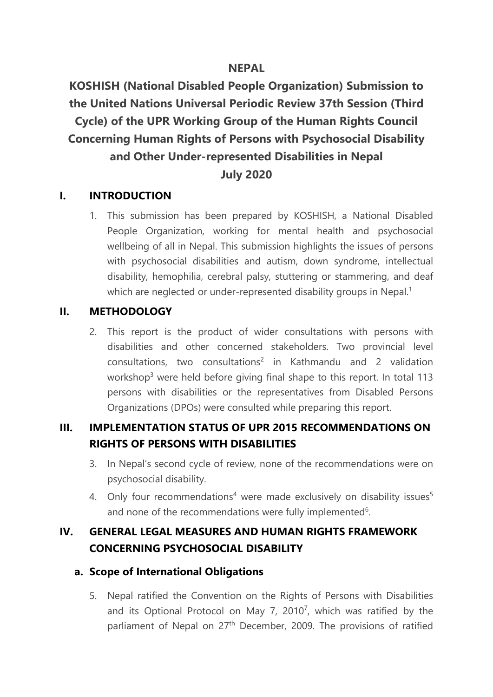## **NEPAL**

**KOSHISH (National Disabled People Organization) Submission to the United Nations Universal Periodic Review 37th Session (Third Cycle) of the UPR Working Group of the Human Rights Council Concerning Human Rights of Persons with Psychosocial Disability and Other Under-represented Disabilities in Nepal July 2020**

### **I. INTRODUCTION**

1. This submission has been prepared by KOSHISH, <sup>a</sup> National Disabled People Organization, working for mental health and psychosocial wellbeing of all in Nepal. This submission highlights the issues of persons with psychosocial disabilities and autism, down syndrome, intellectual disability, hemophilia, cerebral palsy, stuttering or stammering, and deaf which are neglected or under-represented disability groups in Nepal. 1

### **II. METHODOLOGY**

2. This report is the product of wider consultations with persons with disabilities and other concerned stakeholders. Two provincial level consultations, two consultations<sup>2</sup> in Kathmandu and 2 validation workshop $^3$  were held before giving final shape to this report. In total 113  $\,$ persons with disabilities or the representatives from Disabled Persons Organizations (DPOs) were consulted while preparing this report.

# **III. IMPLEMENTATION STATUS OF UPR 2015 RECOMMENDATIONS ON RIGHTS OF PERSONS WITH DISABILITIES**

- 3. In Nepal'<sup>s</sup> second cycle of review, none of the recommendations were on psychosocial disability.
- 4. Only four recommendations<sup>4</sup> were made exclusively on disability issues<sup>5</sup> and none of the recommendations were fully implemented $\rm ^6$ .

# **IV. GENERAL LEGAL MEASURES AND HUMAN RIGHTS FRAMEWORK CONCERNING PSYCHOSOCIAL DISABILITY**

### **a. Scope of International Obligations**

5. Nepal ratified the Convention on the Rights of Persons with Disabilities and its Optional Protocol on May 7, 2010<sup>7</sup>, which was ratified by the parliament of Nepal on 27<sup>th</sup> December, 2009. The provisions of ratified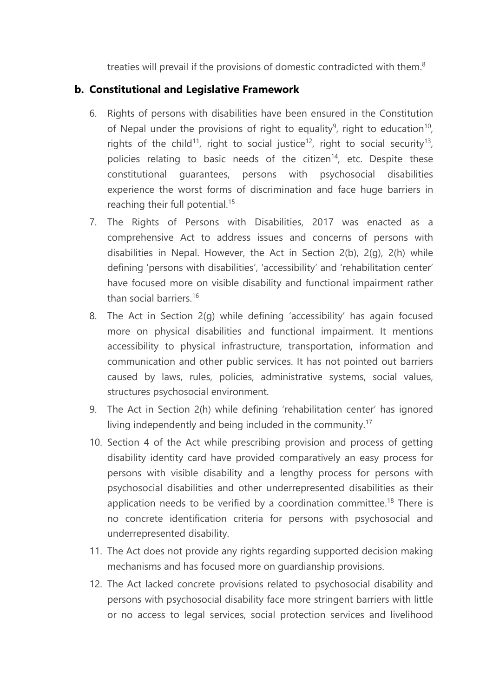treaties will prevail if the provisions of domestic contradicted with them.<sup>8</sup>

## **b. Constitutional and Legislative Framework**

- 6. Rights of persons with disabilities have been ensured in the Constitution of Nepal under the provisions of right to equality $^9$ , right to education $^{10}$ , rights of the child $^{11}$ , right to social justice $^{12}$ , right to social security $^{13}$ , policies relating to basic needs of the citizen<sup>14</sup>, etc. Despite these constitutional guarantees, persons with psychosocial disabilities experience the worst forms of discrimination and face huge barriers in reaching their full potential. 15
- 7. The Rights of Persons with Disabilities, 2017 was enacted as <sup>a</sup> comprehensive Act to address issues and concerns of persons with disabilities in Nepal. However, the Act in Section 2(b), 2(g), 2(h) while defining 'persons with disabilities', 'accessibility' and 'rehabilitation center' have focused more on visible disability and functional impairment rather than social barriers.<sup>16</sup>
- 8. The Act in Section 2(g) while defining 'accessibility' has again focused more on physical disabilities and functional impairment. It mentions accessibility to physical infrastructure, transportation, information and communication and other public services. It has not pointed out barriers caused by laws, rules, policies, administrative systems, social values, structures psychosocial environment.
- 9. The Act in Section 2(h) while defining 'rehabilitation center' has ignored living independently and being included in the community. 17
- 10. Section 4 of the Act while prescribing provision and process of getting disability identity card have provided comparatively an easy process for persons with visible disability and <sup>a</sup> lengthy process for persons with psychosocial disabilities and other underrepresented disabilities as their application needs to be verified by a coordination committee.<sup>18</sup> There is no concrete identification criteria for persons with psychosocial and underrepresented disability.
- 11. The Act does not provide any rights regarding supported decision making mechanisms and has focused more on guardianship provisions.
- 12. The Act lacked concrete provisions related to psychosocial disability and persons with psychosocial disability face more stringent barriers with little or no access to legal services, social protection services and livelihood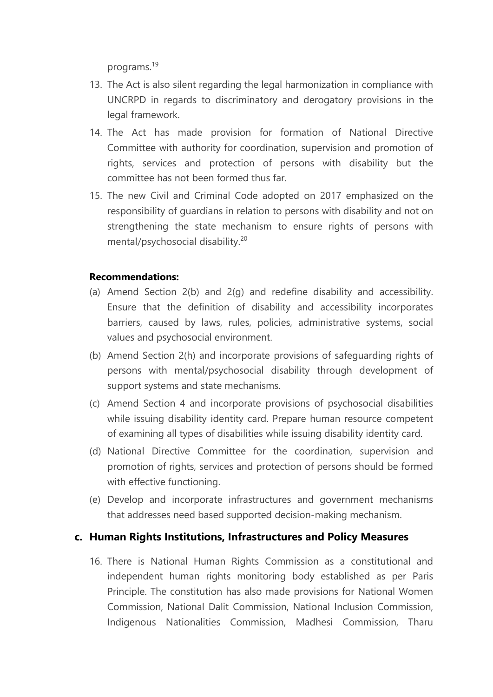programs.<sup>19</sup>

- 13. The Act is also silent regarding the legal harmonization in compliance with UNCRPD in regards to discriminatory and derogatory provisions in the legal framework.
- 14. The Act has made provision for formation of National Directive Committee with authority for coordination, supervision and promotion of rights, services and protection of persons with disability but the committee has not been formed thus far.
- 15. The new Civil and Criminal Code adopted on 2017 emphasized on the responsibility of guardians in relation to persons with disability and not on strengthening the state mechanism to ensure rights of persons with mental/psychosocial disability. 20

#### **Recommendations:**

- (a) Amend Section 2(b) and 2(g) and redefine disability and accessibility. Ensure that the definition of disability and accessibility incorporates barriers, caused by laws, rules, policies, administrative systems, social values and psychosocial environment.
- (b) Amend Section 2(h) and incorporate provisions of safeguarding rights of persons with mental/psychosocial disability through development of support systems and state mechanisms.
- (c) Amend Section 4 and incorporate provisions of psychosocial disabilities while issuing disability identity card. Prepare human resource competent of examining all types of disabilities while issuing disability identity card.
- (d) National Directive Committee for the coordination, supervision and promotion of rights, services and protection of persons should be formed with effective functioning.
- (e) Develop and incorporate infrastructures and governmen<sup>t</sup> mechanisms that addresses need based supported decision-making mechanism.

### **c. Human Rights Institutions, Infrastructures and Policy Measures**

16. There is National Human Rights Commission as <sup>a</sup> constitutional and independent human rights monitoring body established as per Paris Principle. The constitution has also made provisions for National Women Commission, National Dalit Commission, National Inclusion Commission, Indigenous Nationalities Commission, Madhesi Commission, Tharu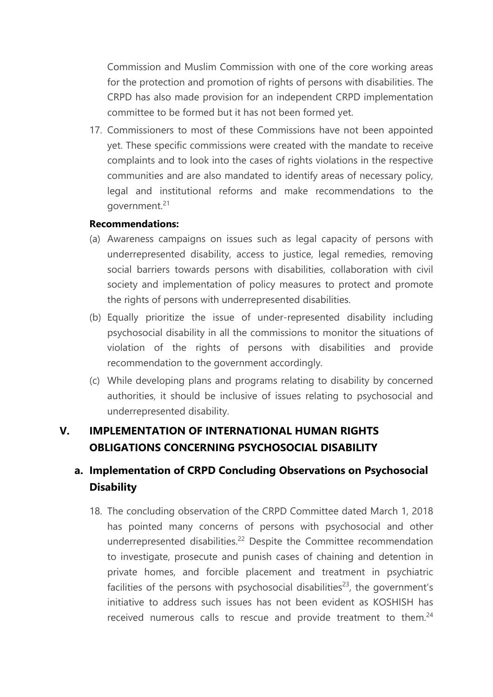Commission and Muslim Commission with one of the core working areas for the protection and promotion of rights of persons with disabilities. The CRPD has also made provision for an independent CRPD implementation committee to be formed but it has not been formed yet.

17. Commissioners to most of these Commissions have not been appointed yet. These specific commissions were created with the mandate to receive complaints and to look into the cases of rights violations in the respective communities and are also mandated to identify areas of necessary policy, legal and institutional reforms and make recommendations to the government.<sup>21</sup>

#### **Recommendations:**

- (a) Awareness campaigns on issues such as legal capacity of persons with underrepresented disability, access to justice, legal remedies, removing social barriers towards persons with disabilities, collaboration with civil society and implementation of policy measures to protect and promote the rights of persons with underrepresented disabilities.
- (b) Equally prioritize the issue of under-represented disability including psychosocial disability in all the commissions to monitor the situations of violation of the rights of persons with disabilities and provide recommendation to the governmen<sup>t</sup> accordingly.
- (c) While developing plans and programs relating to disability by concerned authorities, it should be inclusive of issues relating to psychosocial and underrepresented disability.

# **V. IMPLEMENTATION OF INTERNATIONAL HUMAN RIGHTS OBLIGATIONS CONCERNING PSYCHOSOCIAL DISABILITY**

# **a. Implementation of CRPD Concluding Observations on Psychosocial Disability**

18. The concluding observation of the CRPD Committee dated March 1, 2018 has pointed many concerns of persons with psychosocial and other underrepresented disabilities.<sup>22</sup> Despite the Committee recommendation to investigate, prosecute and punish cases of chaining and detention in private homes, and forcible placement and treatment in psychiatric facilities of the persons with psychosocial disabilities<sup>23</sup>, the government's initiative to address such issues has not been evident as KOSHISH has received numerous calls to rescue and provide treatment to them.<sup>24</sup>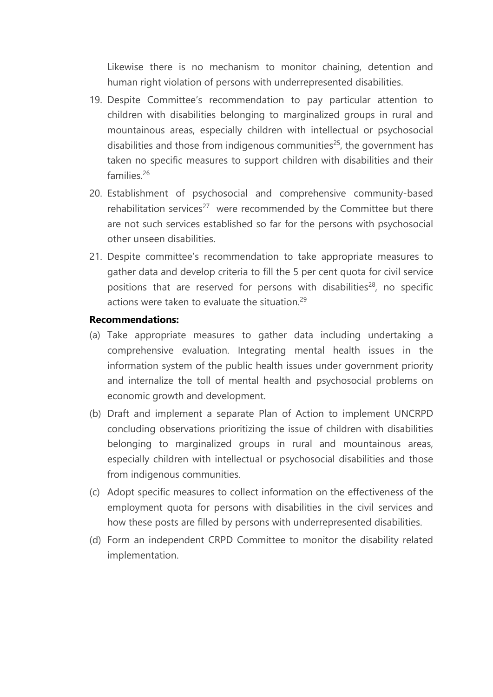Likewise there is no mechanism to monitor chaining, detention and human right violation of persons with underrepresented disabilities.

- 19. Despite Committee'<sup>s</sup> recommendation to pay particular attention to children with disabilities belonging to marginalized groups in rural and mountainous areas, especially children with intellectual or psychosocial disabilities and those from indigenous communities 25 , the governmen<sup>t</sup> has taken no specific measures to support children with disabilities and their families. 26
- 20. Establishment of psychosocial and comprehensive community-based rehabilitation services<sup>27</sup> were recommended by the Committee but there are not such services established so far for the persons with psychosocial other unseen disabilities.
- 21. Despite committee'<sup>s</sup> recommendation to take appropriate measures to gather data and develop criteria to fill the 5 per cent quota for civil service positions that are reserved for persons with disabilities<sup>28</sup>, no specific actions were taken to evaluate the situation.<sup>29</sup>

#### **Recommendations:**

- (a) Take appropriate measures to gather data including undertaking <sup>a</sup> comprehensive evaluation. Integrating mental health issues in the information system of the public health issues under governmen<sup>t</sup> priority and internalize the toll of mental health and psychosocial problems on economic growth and development.
- (b) Draft and implement <sup>a</sup> separate Plan of Action to implement UNCRPD concluding observations prioritizing the issue of children with disabilities belonging to marginalized groups in rural and mountainous areas, especially children with intellectual or psychosocial disabilities and those from indigenous communities.
- (c) Adopt specific measures to collect information on the effectiveness of the employment quota for persons with disabilities in the civil services and how these posts are filled by persons with underrepresented disabilities.
- (d) Form an independent CRPD Committee to monitor the disability related implementation.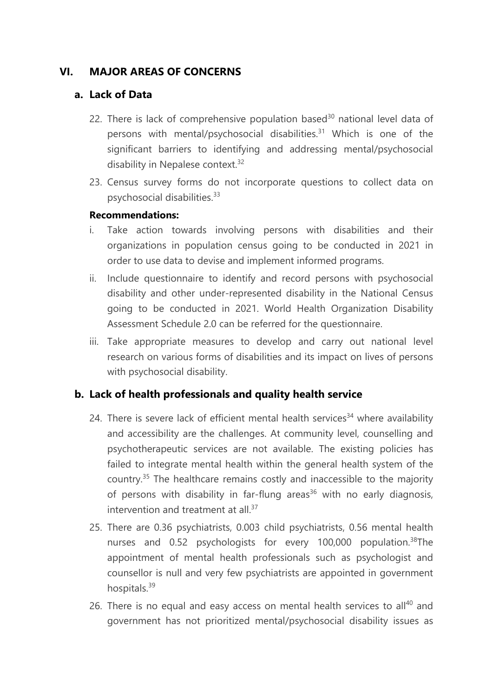## **VI. MAJOR AREAS OF CONCERNS**

### **a. Lack of Data**

- 22. There is lack of comprehensive population based<sup>30</sup> national level data of persons with mental/psychosocial disabilities. <sup>31</sup> Which is one of the significant barriers to identifying and addressing mental/psychosocial disability in Nepalese context.<sup>32</sup>
- 23. Census survey forms do not incorporate questions to collect data on psychosocial disabilities. 33

### **Recommendations:**

- i. Take action towards involving persons with disabilities and their organizations in population census going to be conducted in 2021 in order to use data to devise and implement informed programs.
- ii. Include questionnaire to identify and record persons with psychosocial disability and other under-represented disability in the National Census going to be conducted in 2021. World Health Organization Disability Assessment Schedule 2.0 can be referred for the questionnaire.
- iii. Take appropriate measures to develop and carry out national level research on various forms of disabilities and its impact on lives of persons with psychosocial disability.

## **b. Lack of health professionals and quality health service**

- 24. There is severe lack of efficient mental health services<sup>34</sup> where availability and accessibility are the challenges. At community level, counselling and psychotherapeutic services are not available. The existing policies has failed to integrate mental health within the general health system of the country. 35 The healthcare remains costly and inaccessible to the majority of persons with disability in far-flung areas<sup>36</sup> with no early diagnosis, intervention and treatment at all. $^{\rm 37}$
- 25. There are 0.36 psychiatrists, 0.003 child psychiatrists, 0.56 mental health nurses and 0.52 psychologists for every 100,000 population.<sup>38</sup>The appointment of mental health professionals such as psychologist and counsellor is null and very few psychiatrists are appointed in governmen<sup>t</sup> hospitals.<sup>39</sup>
- 26. There is no equal and easy access on mental health services to all $^{40}$  and governmen<sup>t</sup> has not prioritized mental/psychosocial disability issues as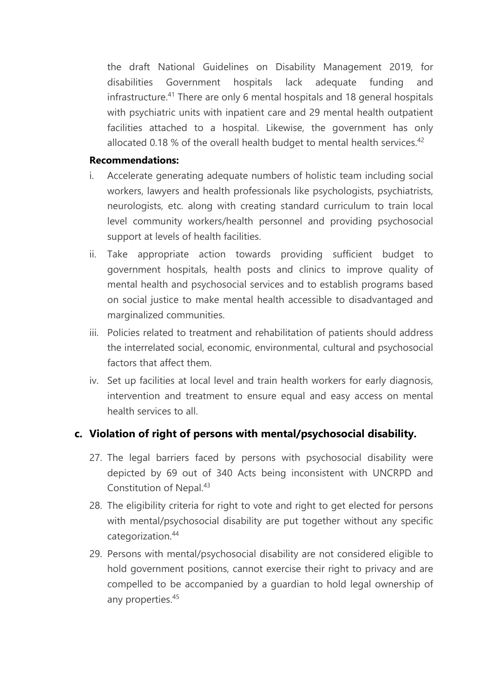the draft National Guidelines on Disability Management 2019, for disabilities Government hospitals lack adequate funding and infrastructure.<sup>41</sup> There are only 6 mental hospitals and 18 general hospitals with psychiatric units with inpatient care and 29 mental health outpatient facilities attached to <sup>a</sup> hospital. Likewise, the governmen<sup>t</sup> has only allocated 0.18 % of the overall health budget to mental health services.<sup>42</sup>

#### **Recommendations:**

- i. Accelerate generating adequate numbers of holistic team including social workers, lawyers and health professionals like psychologists, psychiatrists, neurologists, etc. along with creating standard curriculum to train local level community workers/health personnel and providing psychosocial support at levels of health facilities.
- ii. Take appropriate action towards providing sufficient budget to governmen<sup>t</sup> hospitals, health posts and clinics to improve quality of mental health and psychosocial services and to establish programs based on social justice to make mental health accessible to disadvantaged and marginalized communities.
- iii. Policies related to treatment and rehabilitation of patients should address the interrelated social, economic, environmental, cultural and psychosocial factors that affect them.
- iv. Set up facilities at local level and train health workers for early diagnosis, intervention and treatment to ensure equal and easy access on mental health services to all.

## **c. Violation of right of persons with mental/psychosocial disability.**

- 27. The legal barriers faced by persons with psychosocial disability were depicted by 69 out of 340 Acts being inconsistent with UNCRPD and Constitution of Nepal.<sup>43</sup>
- 28. The eligibility criteria for right to vote and right to ge<sup>t</sup> elected for persons with mental/psychosocial disability are put together without any specific categorization. 44
- 29. Persons with mental/psychosocial disability are not considered eligible to hold governmen<sup>t</sup> positions, cannot exercise their right to privacy and are compelled to be accompanied by <sup>a</sup> guardian to hold legal ownership of any properties. 45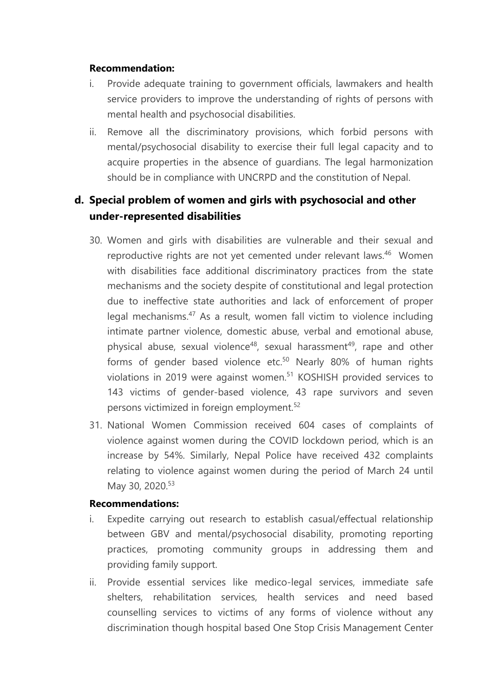#### **Recommendation:**

- i. Provide adequate training to governmen<sup>t</sup> officials, lawmakers and health service providers to improve the understanding of rights of persons with mental health and psychosocial disabilities.
- ii. Remove all the discriminatory provisions, which forbid persons with mental/psychosocial disability to exercise their full legal capacity and to acquire properties in the absence of guardians. The legal harmonization should be in compliance with UNCRPD and the constitution of Nepal.

# **d. Special problem of women and girls with psychosocial and other under-represented disabilities**

- 30. Women and girls with disabilities are vulnerable and their sexual and reproductive rights are not yet cemented under relevant laws.<sup>46</sup> Women with disabilities face additional discriminatory practices from the state mechanisms and the society despite of constitutional and legal protection due to ineffective state authorities and lack of enforcement of proper legal mechanisms.<sup>47</sup> As a result, women fall victim to violence including intimate partner violence, domestic abuse, verbal and emotional abuse, physical abuse, sexual violence<sup>48</sup>, sexual harassment<sup>49</sup>, rape and other forms of gender based violence etc.<sup>50</sup> Nearly 80% of human rights violations in 2019 were against women. 51 KOSHISH provided services to 143 victims of gender-based violence, 43 rape survivors and seven persons victimized in foreign employment. 52
- 31. National Women Commission received 604 cases of complaints of violence against women during the COVID lockdown period, which is an increase by 54%. Similarly, Nepal Police have received 432 complaints relating to violence against women during the period of March 24 until May 30, 2020.<sup>53</sup>

### **Recommendations:**

- i. Expedite carrying out research to establish casual/effectual relationship between GBV and mental/psychosocial disability, promoting reporting practices, promoting community groups in addressing them and providing family support.
- ii. Provide essential services like medico-legal services, immediate safe shelters, rehabilitation services, health services and need based counselling services to victims of any forms of violence without any discrimination though hospital based One Stop Crisis Management Center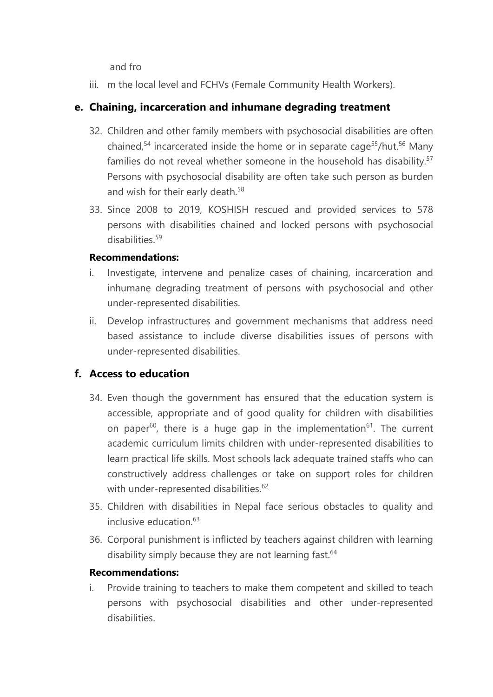and fro

iii. m the local level and FCHVs (Female Community Health Workers).

# **e. Chaining, incarceration and inhumane degrading treatment**

- 32. Children and other family members with psychosocial disabilities are often chained,<sup>54</sup> incarcerated inside the home or in separate cage<sup>55</sup>/hut.<sup>56</sup> Many families do not reveal whether someone in the household has disability.<sup>57</sup> Persons with psychosocial disability are often take such person as burden and wish for their early death.<sup>58</sup>
- 33. Since 2008 to 2019, KOSHISH rescued and provided services to 578 persons with disabilities chained and locked persons with psychosocial disabilities.<sup>59</sup>

## **Recommendations:**

- i. Investigate, intervene and penalize cases of chaining, incarceration and inhumane degrading treatment of persons with psychosocial and other under-represented disabilities.
- ii. Develop infrastructures and governmen<sup>t</sup> mechanisms that address need based assistance to include diverse disabilities issues of persons with under-represented disabilities.

# **f. Access to education**

- 34. Even though the governmen<sup>t</sup> has ensured that the education system is accessible, appropriate and of good quality for children with disabilities on paper<sup>60</sup>, there is a huge gap in the implementation<sup>61</sup>. The current academic curriculum limits children with under-represented disabilities to learn practical life skills. Most schools lack adequate trained staffs who can constructively address challenges or take on support roles for children with under-represented disabilities.<sup>62</sup>
- 35. Children with disabilities in Nepal face serious obstacles to quality and inclusive education. 63
- 36. Corporal punishment is inflicted by teachers against children with learning disability simply because they are not learning fast.<sup>64</sup>

## **Recommendations:**

i. Provide training to teachers to make them competent and skilled to teach persons with psychosocial disabilities and other under-represented disabilities.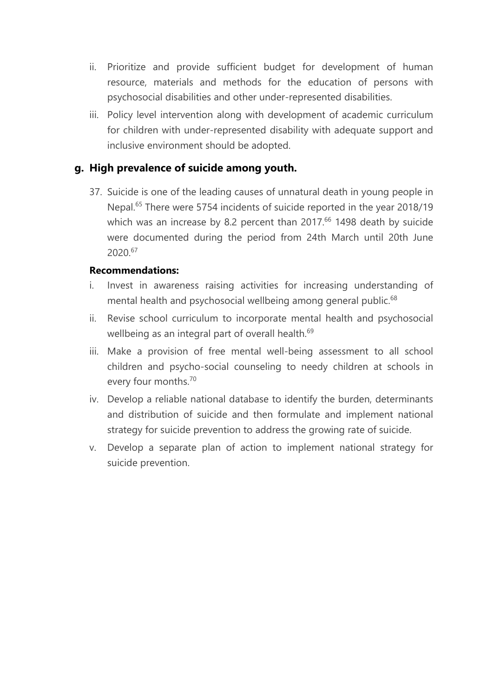- ii. Prioritize and provide sufficient budget for development of human resource, materials and methods for the education of persons with psychosocial disabilities and other under-represented disabilities.
- iii. Policy level intervention along with development of academic curriculum for children with under-represented disability with adequate support and inclusive environment should be adopted.

## **g. High prevalence of suicide among youth.**

37. Suicide is one of the leading causes of unnatural death in young people in Nepal. 65 There were 5754 incidents of suicide reported in the year 2018/19 which was an increase by 8.2 percent than 2017. 66 1498 death by suicide were documented during the period from 24th March until 20th June 2020. 67

### **Recommendations:**

- i. Invest in awareness raising activities for increasing understanding of mental health and psychosocial wellbeing among general public. $^{68}$
- ii. Revise school curriculum to incorporate mental health and psychosocial wellbeing as an integral part of overall health. 69
- iii. Make <sup>a</sup> provision of free mental well-being assessment to all school children and psycho-social counseling to needy children at schools in every four months. 70
- iv. Develop <sup>a</sup> reliable national database to identify the burden, determinants and distribution of suicide and then formulate and implement national strategy for suicide prevention to address the growing rate of suicide.
- v. Develop <sup>a</sup> separate plan of action to implement national strategy for suicide prevention.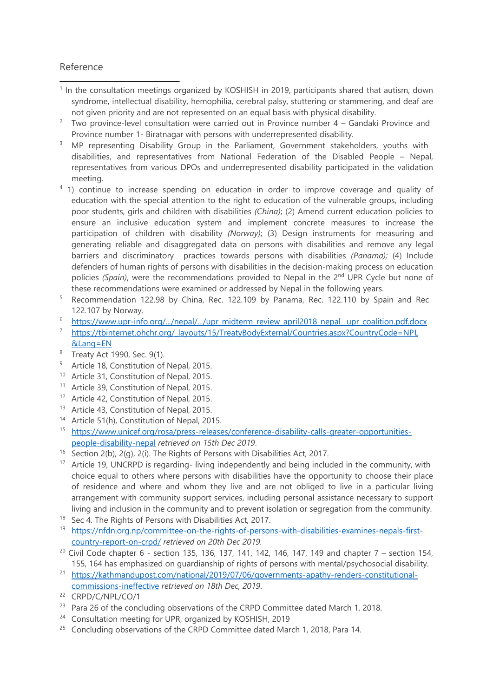#### Reference

- <sup>1</sup> In the consultation meetings organized by KOSHISH in 2019, participants shared that autism, down syndrome, intellectual disability, hemophilia, cerebral palsy, stuttering or stammering, and deaf are not given priority and are not represented on an equal basis with physical disability.
- 2 Two province-level consultation were carried out in Province number 4 – Gandaki Province and Province number 1- Biratnagar with persons with underrepresented disability.
- <sup>3</sup> MP representing Disability Group in the Parliament, Government stakeholders, youths with disabilities, and representatives from National Federation of the Disabled People – Nepal, representatives from various DPOs and underrepresented disability participated in the validation meeting.
- <sup>4</sup> 1) continue to increase spending on education in order to improve coverage and quality of education with the special attention to the right to education of the vulnerable groups, including poor students, girls and children with disabilities *(China)*; (2) Amend current education policies to ensure an inclusive education system and implement concrete measures to increase the participation of children with disability *(Norway)*; (3) Design instruments for measuring and generating reliable and disaggregated data on persons with disabilities and remove any legal barriers and discriminatory practices towards persons with disabilities *(Panama);* (4) Include defenders of human rights of persons with disabilities in the decision-making process on education policies *(Spain),* were the recommendations provided to Nepal in the 2<sup>nd</sup> UPR Cycle but none of these recommendations were examined or addressed by Nepal in the following years.
- 5 Recommendation 122.98 by China, Rec. 122.109 by Panama, Rec. 122.110 by Spain and Rec 122.107 by Norway.
- 6 [https://www.upr-info.org/.../nepal/.../upr\\_midterm\\_review\\_april2018\\_nepal](https://www.upr-info.org/.../nepal/.../upr_midterm_review_april2018_nepal%20_upr_coalition.pdf.docx)\_upr\_coalition.pdf.docx
- 7 [https://tbinternet.ohchr.org/\\_layouts/15/TreatyBodyExternal/Countries.aspx?CountryCode=NP](https://tbinternet.ohchr.org/_layouts/15/TreatyBodyExternal/Countries.aspx?CountryCode=NP)L &Lang=EN
- <sup>8</sup> Treaty Act 1990, Sec. 9(1).
- <sup>9</sup> Article 18, Constitution of Nepal, 2015.
- <sup>10</sup> Article 31, Constitution of Nepal, 2015.
- <sup>11</sup> Article 39, Constitution of Nepal, 2015.
- <sup>12</sup> Article 42, Constitution of Nepal, 2015.
- <sup>13</sup> Article 43, Constitution of Nepal, 2015.
- <sup>14</sup> Article 51(h), Constitution of Nepal, 2015.
- <sup>15</sup> https://www.unicef.org/rosa/press-releases/conference-disability-calls-greater-opportunitiespeople-disability-nepal *retrieved on 15th Dec 2019*.
- <sup>16</sup> Section 2(b), 2(g), 2(i). The Rights of Persons with Disabilities Act, 2017.
- <sup>17</sup> Article 19, UNCRPD is regarding- living independently and being included in the community, with choice equal to others where persons with disabilities have the opportunity to choose their place of residence and where and whom they live and are not obliged to live in <sup>a</sup> particular living arrangemen<sup>t</sup> with community support services, including personal assistance necessary to support living and inclusion in the community and to prevent isolation or segregation from the community.
- $18$  Sec 4. The Rights of Persons with Disabilities Act, 2017.
- <sup>19</sup> https://nfdn.org.np/committee-on-the-rights-of-persons-with-disabilities-examines-nepals-firstcountry-report-on-crpd/ *retrieved on 20th Dec 2019.*
- $^{20}$  Civil Code chapter 6 section 135, 136, 137, 141, 142, 146, 147, 149 and chapter 7 section 154, 155, 164 has emphasized on guardianship of rights of persons with mental/psychosocial disability.
- <sup>21</sup> https://kathmandupost.com/national/2019/07/06/governments-apathy-renders-constitutionalcommissions-ineffective *retrieved on 18th Dec, 2019*.
- <sup>22</sup> CRPD/C/NPL/CO/1
- <sup>23</sup> Para 26 of the concluding observations of the CRPD Committee dated March 1, 2018.
- <sup>24</sup> Consultation meeting for UPR, organized by KOSHISH, 2019
- <sup>25</sup> Concluding observations of the CRPD Committee dated March 1, 2018, Para 14.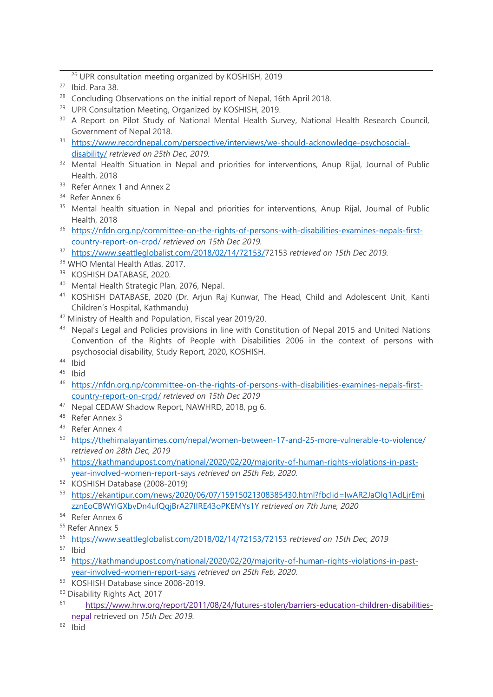<sup>26</sup> UPR consultation meeting organized by KOSHISH, 2019

- $27$  Ibid. Para 38.
- $28$  Concluding Observations on the initial report of Nepal, 16th April 2018.
- <sup>29</sup> UPR Consultation Meeting, Organized by KOSHISH, 2019.
- <sup>30</sup> A Report on Pilot Study of National Mental Health Survey, National Health Research Council, Government of Nepal 2018.
- <sup>31</sup> https://www.recordnepal.com/perspective/interviews/we-should-acknowledge-psychosocialdisability/ *retrieved on 25th Dec, 2019.*
- <sup>32</sup> Mental Health Situation in Nepal and priorities for interventions, Anup Rijal, Journal of Public Health, 2018
- <sup>33</sup> Refer Annex 1 and Annex 2
- <sup>34</sup> Refer Annex 6
- <sup>35</sup> Mental health situation in Nepal and priorities for interventions, Anup Rijal, Journal of Public Health, 2018
- <sup>36</sup> https://nfdn.org.np/committee-on-the-rights-of-persons-with-disabilities-examines-nepals-firstcountry-report-on-crpd/ *retrieved on 15th Dec 2019.*
- 37 https://www.seattleglobalist.com/2018/02/14/72153/72153 *retrieved on 15th Dec 2019.*
- <sup>38</sup> WHO Mental Health Atlas, 2017.
- 39 KOSHISH DATABASE, 2020.
- <sup>40</sup> Mental Health Strategic Plan, 2076, Nepal.
- <sup>41</sup> KOSHISH DATABASE, 2020 (Dr. Arjun Raj Kunwar, The Head, Child and Adolescent Unit, Kanti Children'<sup>s</sup> Hospital, Kathmandu)
- <sup>42</sup> Ministry of Health and Population, Fiscal year 2019/20.
- $^\mathrm{43}$  Nepal's Legal and Policies provisions in line with Constitution of Nepal 2015 and United Nations Convention of the Rights of People with Disabilities 2006 in the context of persons with psychosocial disability, Study Report, 2020, KOSHISH.
- <sup>44</sup> Ibid
- <sup>45</sup> Ibid
- <sup>46</sup> https://nfdn.org.np/committee-on-the-rights-of-persons-with-disabilities-examines-nepals-firstcountry-report-on-crpd/ *retrieved on 15th Dec 2019*
- <sup>47</sup> Nepal CEDAW Shadow Report, NAWHRD, 2018, pg 6.
- <sup>48</sup> Refer Annex 3
- <sup>49</sup> Refer Annex 4
- <sup>50</sup> https://thehimalayantimes.com/nepal/women-between-17-and-25-more-vulnerable-to-violence/ *retrieved on 28th Dec, 2019*
- <sup>51</sup> https://kathmandupost.com/national/2020/02/20/majority-of-human-rights-violations-in-pastyear-involved-women-report-says *retrieved on 25th Feb, 2020.*
- 52 KOSHISH Database (2008-2019)
- 53 <https://ekantipur.com/news/2020/06/07/15915021308385430.html?fbclid=IwAR2JaOlg1AdLjrEmi> zznEoCBWYIGXbvDn4ufQqjBrA27IIRE43oPKEMYs1Y *retrieved on 7th June, 2020*

- <sup>55</sup> Refer Annex 5
- 56 https://www.seattleglobalist.com/2018/02/14/72153/72153 *retrieved on 15th Dec, 2019*
- <sup>57</sup> Ibid
- <sup>58</sup> https://kathmandupost.com/national/2020/02/20/majority-of-human-rights-violations-in-pastyear-involved-women-report-says *retrieved on 25th Feb, 2020.*
- 59 KOSHISH Database since 2008-2019.
- <sup>60</sup> Disability Rights Act, 2017
- 61 [https://www.hrw.org/report/2011/08/24/futures-stolen/barriers-education-children-disabilities](https://www.hrw.org/report/2011/08/24/futures-stolen/barriers-education-children-disabilities-nepal)[nepa](https://www.hrw.org/report/2011/08/24/futures-stolen/barriers-education-children-disabilities-nepal)l retrieved on *15th Dec 2019.*
- <sup>62</sup> Ibid

<sup>&</sup>lt;sup>54</sup> Refer Annex 6